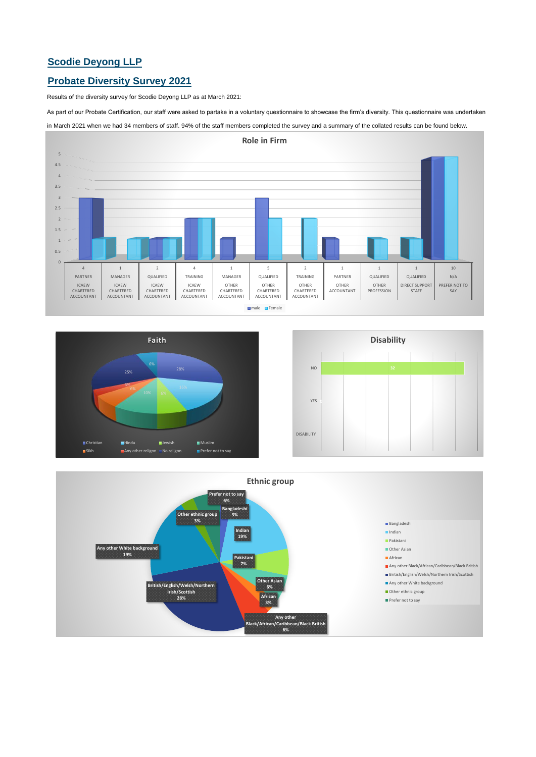## **Scodie Deyong LLP**

## **Probate Diversity Survey 2021**

Results of the diversity survey for Scodie Deyong LLP as at March 2021:

As part of our Probate Certification, our staff were asked to partake in a voluntary questionnaire to showcase the firm's diversity. This questionnaire was undertaken

in March 2021 when we had 34 members of staff. 94% of the staff members completed the survey and a summary of the collated results can be found below.